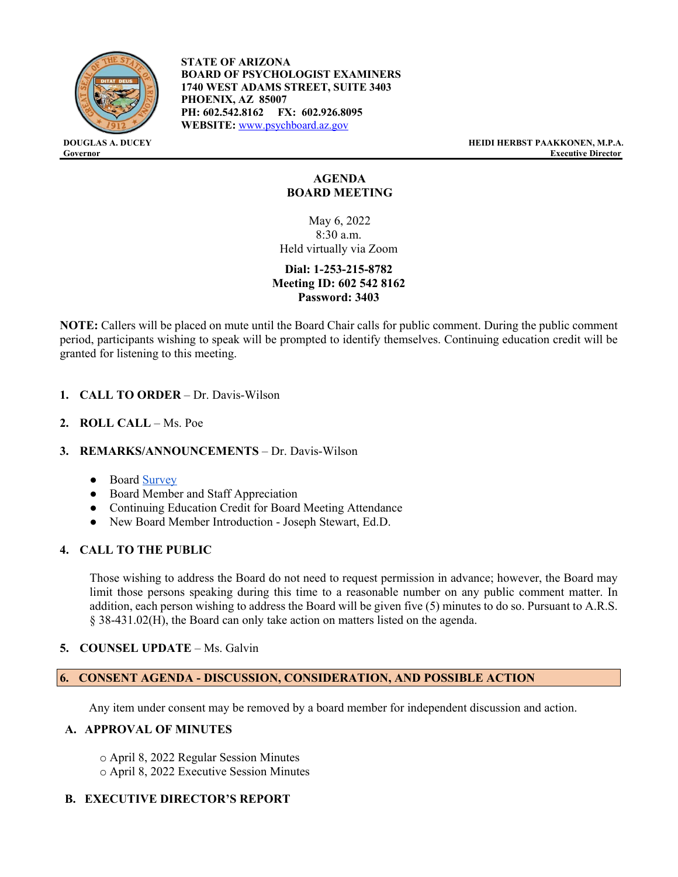

**STATE OF ARIZONA BOARD OF PSYCHOLOGIST EXAMINERS 1740 WEST ADAMS STREET, SUITE 3403 PHOENIX, AZ 85007 PH: 602.542.8162 FX: 602.926.8095 WEBSITE:** [www.psychboard.az.gov](http://www.psychboard.az.gov/)

**DOUGLAS A. DUCEY HEIDI HERBST PAAKKONEN, M.P.A. Executive Director** 

# **AGENDA BOARD MEETING**

May 6, 2022 8:30 a.m. Held virtually via Zoom

**Dial: 1-253-215-8782 Meeting ID: 602 542 8162 Password: 3403**

**NOTE:** Callers will be placed on mute until the Board Chair calls for public comment. During the public comment period, participants wishing to speak will be prompted to identify themselves. Continuing education credit will be granted for listening to this meeting.

- **1. CALL TO ORDER** Dr. Davis-Wilson
- **2. ROLL CALL** Ms. Poe
- **3. REMARKS/ANNOUNCEMENTS** Dr. Davis-Wilson
	- Board [Survey](https://docs.google.com/forms/d/e/1FAIpQLSd9s6L8DiwycVByH1Q688ttw9N8feq9uYDYos-ePIwKrKh5KA/viewform)
	- Board Member and Staff Appreciation
	- Continuing Education Credit for Board Meeting Attendance
	- New Board Member Introduction Joseph Stewart, Ed.D.

### **4. CALL TO THE PUBLIC**

Those wishing to address the Board do not need to request permission in advance; however, the Board may limit those persons speaking during this time to a reasonable number on any public comment matter. In addition, each person wishing to address the Board will be given five (5) minutes to do so. Pursuant to A.R.S. § 38-431.02(H), the Board can only take action on matters listed on the agenda.

**5. COUNSEL UPDATE** – Ms. Galvin

#### **6. CONSENT AGENDA - DISCUSSION, CONSIDERATION, AND POSSIBLE ACTION**

Any item under consent may be removed by a board member for independent discussion and action.

#### **A. APPROVAL OF MINUTES**

o April 8, 2022 Regular Session Minutes o April 8, 2022 Executive Session Minutes

### **B. EXECUTIVE DIRECTOR'S REPORT**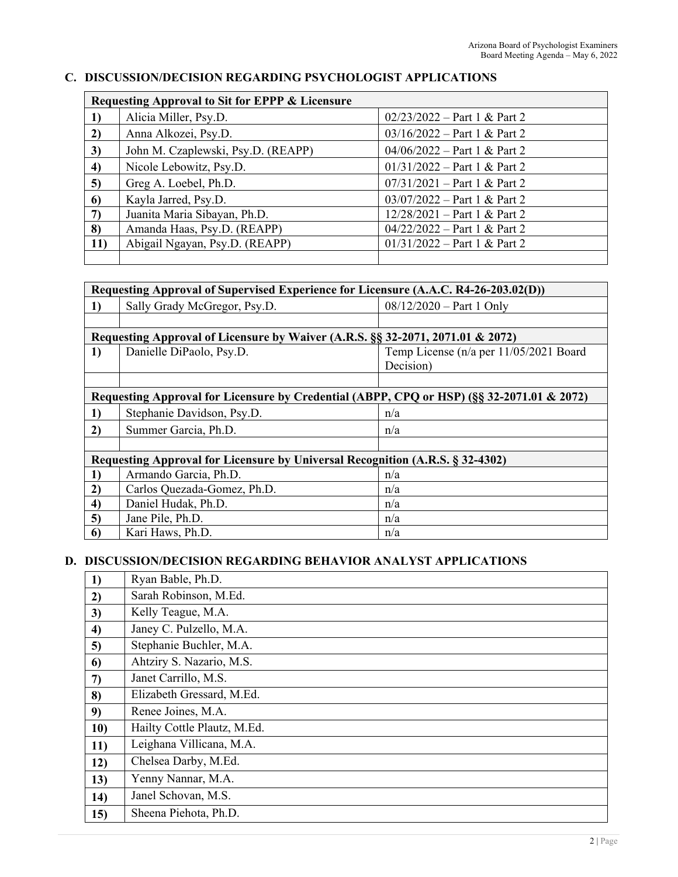# **C. DISCUSSION/DECISION REGARDING PSYCHOLOGIST APPLICATIONS**

| Requesting Approval to Sit for EPPP & Licensure |                                    |                                |  |  |
|-------------------------------------------------|------------------------------------|--------------------------------|--|--|
|                                                 | Alicia Miller, Psy.D.              | $02/23/2022$ – Part 1 & Part 2 |  |  |
| $\mathbf{2}$                                    | Anna Alkozei, Psy.D.               | $03/16/2022 - Part 1 & Part 2$ |  |  |
| 3)                                              | John M. Czaplewski, Psy.D. (REAPP) | $04/06/2022 - Part 1 & Part 2$ |  |  |
| 4)                                              | Nicole Lebowitz, Psy.D.            | $01/31/2022 - Part 1 & Part 2$ |  |  |
| 5)                                              | Greg A. Loebel, Ph.D.              | $07/31/2021$ – Part 1 & Part 2 |  |  |
| 6                                               | Kayla Jarred, Psy.D.               | $03/07/2022 - Part 1 & Part 2$ |  |  |
| $\mathcal{L}$                                   | Juanita Maria Sibayan, Ph.D.       | $12/28/2021$ – Part 1 & Part 2 |  |  |
| 8)                                              | Amanda Haas, Psy.D. (REAPP)        | $04/22/2022 - Part 1 & Part 2$ |  |  |
| 11)                                             | Abigail Ngayan, Psy.D. (REAPP)     | $01/31/2022 - Part 1 & Part 2$ |  |  |
|                                                 |                                    |                                |  |  |

| Requesting Approval of Supervised Experience for Licensure (A.A.C. R4-26-203.02(D))       |                              |                                        |  |  |
|-------------------------------------------------------------------------------------------|------------------------------|----------------------------------------|--|--|
| 1)                                                                                        | Sally Grady McGregor, Psy.D. | $08/12/2020$ – Part 1 Only             |  |  |
|                                                                                           |                              |                                        |  |  |
| Requesting Approval of Licensure by Waiver (A.R.S. §§ 32-2071, 2071.01 & 2072)            |                              |                                        |  |  |
| 1)                                                                                        | Danielle DiPaolo, Psy.D.     | Temp License (n/a per 11/05/2021 Board |  |  |
|                                                                                           |                              | Decision)                              |  |  |
|                                                                                           |                              |                                        |  |  |
| Requesting Approval for Licensure by Credential (ABPP, CPQ or HSP) (§§ 32-2071.01 & 2072) |                              |                                        |  |  |
| 1)                                                                                        | Stephanie Davidson, Psy.D.   | n/a                                    |  |  |
| 2)                                                                                        | Summer Garcia, Ph.D.         | n/a                                    |  |  |
|                                                                                           |                              |                                        |  |  |
| Requesting Approval for Licensure by Universal Recognition (A.R.S. § 32-4302)             |                              |                                        |  |  |
| 1)                                                                                        | Armando Garcia, Ph.D.        | n/a                                    |  |  |
| 2)                                                                                        | Carlos Quezada-Gomez, Ph.D.  | n/a                                    |  |  |
| $\boldsymbol{4}$                                                                          | Daniel Hudak, Ph.D.          | n/a                                    |  |  |
| 5)                                                                                        | Jane Pile, Ph.D.             | n/a                                    |  |  |
| 6                                                                                         | Kari Haws, Ph.D.             | n/a                                    |  |  |

# **D. DISCUSSION/DECISION REGARDING BEHAVIOR ANALYST APPLICATIONS**

| 1)  | Ryan Bable, Ph.D.           |
|-----|-----------------------------|
| 2)  | Sarah Robinson, M.Ed.       |
| 3)  | Kelly Teague, M.A.          |
| 4)  | Janey C. Pulzello, M.A.     |
| 5)  | Stephanie Buchler, M.A.     |
| 6   | Ahtziry S. Nazario, M.S.    |
| 7)  | Janet Carrillo, M.S.        |
| 8)  | Elizabeth Gressard, M.Ed.   |
| 9)  | Renee Joines, M.A.          |
| 10) | Hailty Cottle Plautz, M.Ed. |
| 11) | Leighana Villicana, M.A.    |
| 12) | Chelsea Darby, M.Ed.        |
| 13) | Yenny Nannar, M.A.          |
| 14) | Janel Schovan, M.S.         |
| 15) | Sheena Piehota, Ph.D.       |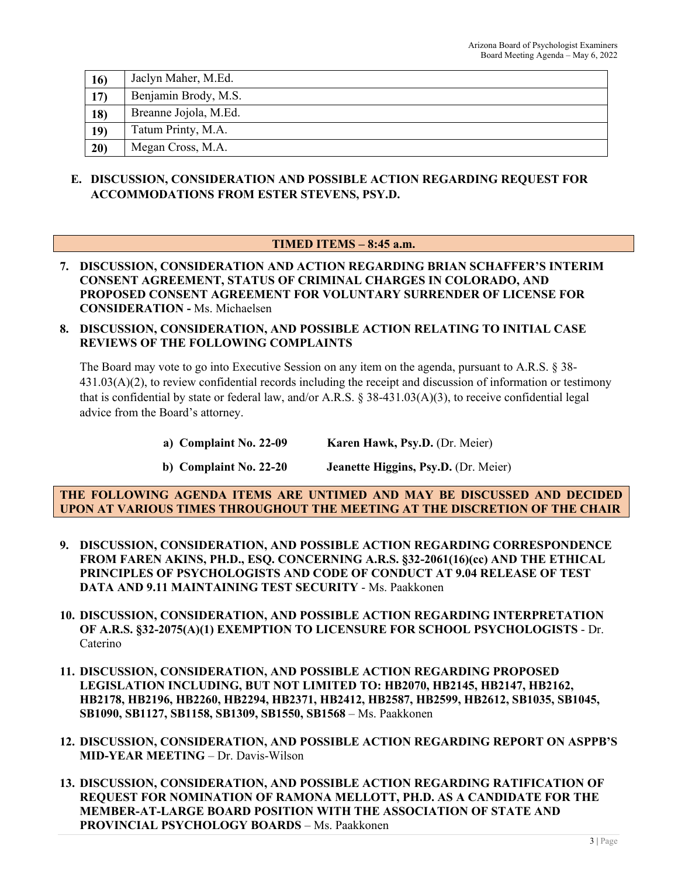| <b>16</b>  | Jaclyn Maher, M.Ed.   |
|------------|-----------------------|
| 17)        | Benjamin Brody, M.S.  |
| <b>18)</b> | Breanne Jojola, M.Ed. |
| 19)        | Tatum Printy, M.A.    |
| 20)        | Megan Cross, M.A.     |

## **E. DISCUSSION, CONSIDERATION AND POSSIBLE ACTION REGARDING REQUEST FOR ACCOMMODATIONS FROM ESTER STEVENS, PSY.D.**

# **TIMED ITEMS – 8:45 a.m.**

- **7. DISCUSSION, CONSIDERATION AND ACTION REGARDING BRIAN SCHAFFER'S INTERIM CONSENT AGREEMENT, STATUS OF CRIMINAL CHARGES IN COLORADO, AND PROPOSED CONSENT AGREEMENT FOR VOLUNTARY SURRENDER OF LICENSE FOR CONSIDERATION -** Ms. Michaelsen
- **8. DISCUSSION, CONSIDERATION, AND POSSIBLE ACTION RELATING TO INITIAL CASE REVIEWS OF THE FOLLOWING COMPLAINTS**

The Board may vote to go into Executive Session on any item on the agenda, pursuant to A.R.S. § 38- 431.03(A)(2), to review confidential records including the receipt and discussion of information or testimony that is confidential by state or federal law, and/or A.R.S. § 38-431.03(A)(3), to receive confidential legal advice from the Board's attorney.

| a) Complaint No. 22-09 | <b>Karen Hawk, Psy.D.</b> (Dr. Meier) |
|------------------------|---------------------------------------|
|                        |                                       |

**b)** Complaint No. 22-20 **Jeanette Higgins, Psy.D.** (Dr. Meier)

**THE FOLLOWING AGENDA ITEMS ARE UNTIMED AND MAY BE DISCUSSED AND DECIDED UPON AT VARIOUS TIMES THROUGHOUT THE MEETING AT THE DISCRETION OF THE CHAIR**

- **9. DISCUSSION, CONSIDERATION, AND POSSIBLE ACTION REGARDING CORRESPONDENCE FROM FAREN AKINS, PH.D., ESQ. CONCERNING A.R.S. §32-2061(16)(cc) AND THE ETHICAL PRINCIPLES OF PSYCHOLOGISTS AND CODE OF CONDUCT AT 9.04 RELEASE OF TEST DATA AND 9.11 MAINTAINING TEST SECURITY** - Ms. Paakkonen
- **10. DISCUSSION, CONSIDERATION, AND POSSIBLE ACTION REGARDING INTERPRETATION OF A.R.S. §32-2075(A)(1) EXEMPTION TO LICENSURE FOR SCHOOL PSYCHOLOGISTS** - Dr. Caterino
- **11. DISCUSSION, CONSIDERATION, AND POSSIBLE ACTION REGARDING PROPOSED LEGISLATION INCLUDING, BUT NOT LIMITED TO: HB2070, HB2145, HB2147, HB2162, HB2178, HB2196, HB2260, HB2294, HB2371, HB2412, HB2587, HB2599, HB2612, SB1035, SB1045, SB1090, SB1127, SB1158, SB1309, SB1550, SB1568** – Ms. Paakkonen
- **12. DISCUSSION, CONSIDERATION, AND POSSIBLE ACTION REGARDING REPORT ON ASPPB'S MID-YEAR MEETING** – Dr. Davis-Wilson
- **13. DISCUSSION, CONSIDERATION, AND POSSIBLE ACTION REGARDING RATIFICATION OF REQUEST FOR NOMINATION OF RAMONA MELLOTT, PH.D. AS A CANDIDATE FOR THE MEMBER-AT-LARGE BOARD POSITION WITH THE ASSOCIATION OF STATE AND PROVINCIAL PSYCHOLOGY BOARDS** – Ms. Paakkonen